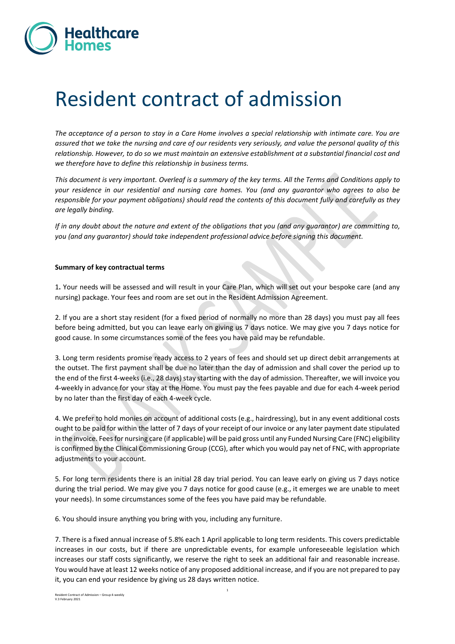

# Resident contract of admission

*The acceptance of a person to stay in a Care Home involves a special relationship with intimate care. You are assured that we take the nursing and care of our residents very seriously, and value the personal quality of this relationship. However, to do so we must maintain an extensive establishment at a substantial financial cost and we therefore have to define this relationship in business terms.* 

*This document is very important. Overleaf is a summary of the key terms. All the Terms and Conditions apply to your residence in our residential and nursing care homes. You (and any guarantor who agrees to also be responsible for your payment obligations) should read the contents of this document fully and carefully as they are legally binding.*

*If in any doubt about the nature and extent of the obligations that you (and any guarantor) are committing to, you (and any guarantor) should take independent professional advice before signing this document.*

#### **Summary of key contractual terms**

1**.** Your needs will be assessed and will result in your Care Plan, which will set out your bespoke care (and any nursing) package. Your fees and room are set out in the Resident Admission Agreement.

2. If you are a short stay resident (for a fixed period of normally no more than 28 days) you must pay all fees before being admitted, but you can leave early on giving us 7 days notice. We may give you 7 days notice for good cause. In some circumstances some of the fees you have paid may be refundable.

3. Long term residents promise ready access to 2 years of fees and should set up direct debit arrangements at the outset. The first payment shall be due no later than the day of admission and shall cover the period up to the end of the first 4-weeks (i.e., 28 days) stay starting with the day of admission. Thereafter, we will invoice you 4-weekly in advance for your stay at the Home. You must pay the fees payable and due for each 4-week period by no later than the first day of each 4-week cycle.

4. We prefer to hold monies on account of additional costs (e.g., hairdressing), but in any event additional costs ought to be paid for within the latter of 7 days of your receipt of our invoice or any later payment date stipulated in the invoice. Fees for nursing care (if applicable) will be paid gross until any Funded Nursing Care (FNC) eligibility is confirmed by the Clinical Commissioning Group (CCG), after which you would pay net of FNC, with appropriate adjustments to your account.

5. For long term residents there is an initial 28 day trial period. You can leave early on giving us 7 days notice during the trial period. We may give you 7 days notice for good cause (e.g., it emerges we are unable to meet your needs). In some circumstances some of the fees you have paid may be refundable.

6. You should insure anything you bring with you, including any furniture.

7. There is a fixed annual increase of 5.8% each 1 April applicable to long term residents. This covers predictable increases in our costs, but if there are unpredictable events, for example unforeseeable legislation which increases our staff costs significantly, we reserve the right to seek an additional fair and reasonable increase. You would have at least 12 weeks notice of any proposed additional increase, and if you are not prepared to pay it, you can end your residence by giving us 28 days written notice.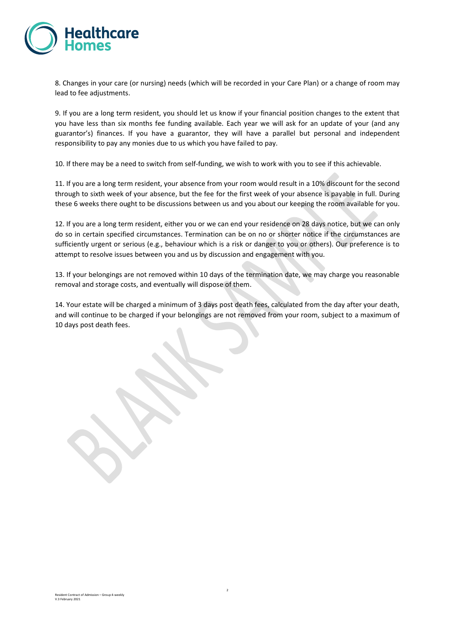

8. Changes in your care (or nursing) needs (which will be recorded in your Care Plan) or a change of room may lead to fee adjustments.

9. If you are a long term resident, you should let us know if your financial position changes to the extent that you have less than six months fee funding available. Each year we will ask for an update of your (and any guarantor's) finances. If you have a guarantor, they will have a parallel but personal and independent responsibility to pay any monies due to us which you have failed to pay.

10. If there may be a need to switch from self-funding, we wish to work with you to see if this achievable.

11. If you are a long term resident, your absence from your room would result in a 10% discount for the second through to sixth week of your absence, but the fee for the first week of your absence is payable in full. During these 6 weeks there ought to be discussions between us and you about our keeping the room available for you.

12. If you are a long term resident, either you or we can end your residence on 28 days notice, but we can only do so in certain specified circumstances. Termination can be on no or shorter notice if the circumstances are sufficiently urgent or serious (e.g., behaviour which is a risk or danger to you or others). Our preference is to attempt to resolve issues between you and us by discussion and engagement with you.

13. If your belongings are not removed within 10 days of the termination date, we may charge you reasonable removal and storage costs, and eventually will dispose of them.

14. Your estate will be charged a minimum of 3 days post death fees, calculated from the day after your death, and will continue to be charged if your belongings are not removed from your room, subject to a maximum of 10 days post death fees.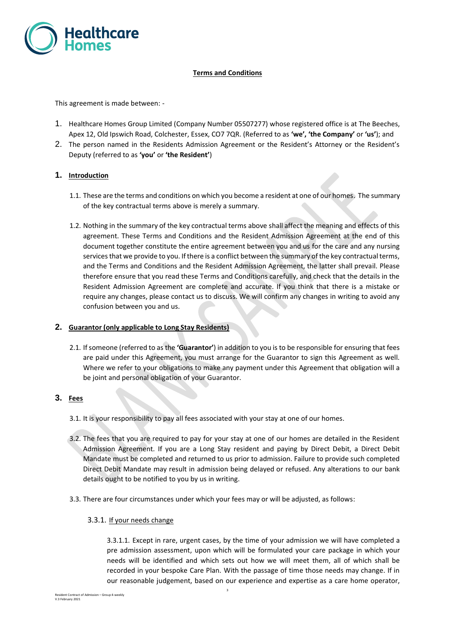

## **Terms and Conditions**

This agreement is made between: -

- 1. Healthcare Homes Group Limited (Company Number 05507277) whose registered office is at The Beeches, Apex 12, Old Ipswich Road, Colchester, Essex, CO7 7QR. (Referred to as **'we', 'the Company'** or **'us'**); and
- 2. The person named in the Residents Admission Agreement or the Resident's Attorney or the Resident's Deputy (referred to as **'you'** or **'the Resident'**)

#### **1. Introduction**

- 1.1. These are the terms and conditions on which you become a resident at one of our homes. The summary of the key contractual terms above is merely a summary.
- 1.2. Nothing in the summary of the key contractual terms above shall affect the meaning and effects of this agreement. These Terms and Conditions and the Resident Admission Agreement at the end of this document together constitute the entire agreement between you and us for the care and any nursing services that we provide to you. If there is a conflict between the summary of the key contractual terms, and the Terms and Conditions and the Resident Admission Agreement, the latter shall prevail. Please therefore ensure that you read these Terms and Conditions carefully, and check that the details in the Resident Admission Agreement are complete and accurate. If you think that there is a mistake or require any changes, please contact us to discuss. We will confirm any changes in writing to avoid any confusion between you and us.

#### **2. Guarantor (only applicable to Long Stay Residents)**

2.1. If someone (referred to as the **'Guarantor'**) in addition to you is to be responsible for ensuring that fees are paid under this Agreement, you must arrange for the Guarantor to sign this Agreement as well. Where we refer to your obligations to make any payment under this Agreement that obligation will a be joint and personal obligation of your Guarantor.

#### **3. Fees**

- 3.1. It is your responsibility to pay all fees associated with your stay at one of our homes.
- 3.2. The fees that you are required to pay for your stay at one of our homes are detailed in the Resident Admission Agreement. If you are a Long Stay resident and paying by Direct Debit, a Direct Debit Mandate must be completed and returned to us prior to admission. Failure to provide such completed Direct Debit Mandate may result in admission being delayed or refused. Any alterations to our bank details ought to be notified to you by us in writing.
- 3.3. There are four circumstances under which your fees may or will be adjusted, as follows:
	- 3.3.1. If your needs change

3.3.1.1. Except in rare, urgent cases, by the time of your admission we will have completed a pre admission assessment, upon which will be formulated your care package in which your needs will be identified and which sets out how we will meet them, all of which shall be recorded in your bespoke Care Plan. With the passage of time those needs may change. If in our reasonable judgement, based on our experience and expertise as a care home operator,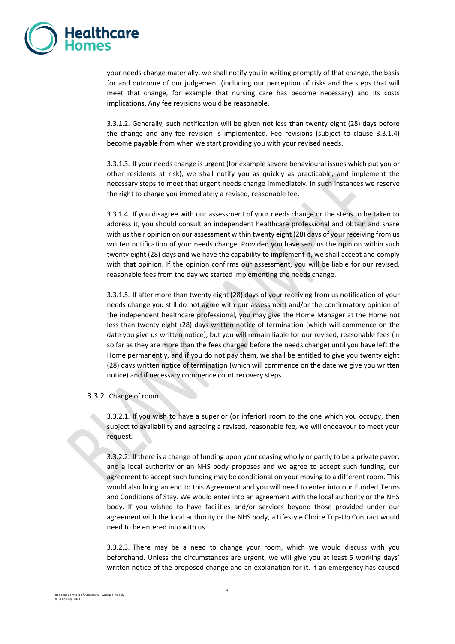

your needs change materially, we shall notify you in writing promptly of that change, the basis for and outcome of our judgement (including our perception of risks and the steps that will meet that change, for example that nursing care has become necessary) and its costs implications. Any fee revisions would be reasonable.

3.3.1.2. Generally, such notification will be given not less than twenty eight (28) days before the change and any fee revision is implemented. Fee revisions (subject to clause 3.3.1.4) become payable from when we start providing you with your revised needs.

3.3.1.3. If your needs change is urgent (for example severe behavioural issues which put you or other residents at risk), we shall notify you as quickly as practicable, and implement the necessary steps to meet that urgent needs change immediately. In such instances we reserve the right to charge you immediately a revised, reasonable fee.

3.3.1.4. If you disagree with our assessment of your needs change or the steps to be taken to address it, you should consult an independent healthcare professional and obtain and share with us their opinion on our assessment within twenty eight (28) days of your receiving from us written notification of your needs change. Provided you have sent us the opinion within such twenty eight (28) days and we have the capability to implement it, we shall accept and comply with that opinion. If the opinion confirms our assessment, you will be liable for our revised, reasonable fees from the day we started implementing the needs change.

3.3.1.5. If after more than twenty eight (28) days of your receiving from us notification of your needs change you still do not agree with our assessment and/or the confirmatory opinion of the independent healthcare professional, you may give the Home Manager at the Home not less than twenty eight (28) days written notice of termination (which will commence on the date you give us written notice), but you will remain liable for our revised, reasonable fees (in so far as they are more than the fees charged before the needs change) until you have left the Home permanently, and if you do not pay them, we shall be entitled to give you twenty eight (28) days written notice of termination (which will commence on the date we give you written notice) and if necessary commence court recovery steps.

#### 3.3.2. Change of room

3.3.2.1. If you wish to have a superior (or inferior) room to the one which you occupy, then subject to availability and agreeing a revised, reasonable fee, we will endeavour to meet your request.

3.3.2.2. If there is a change of funding upon your ceasing wholly or partly to be a private payer, and a local authority or an NHS body proposes and we agree to accept such funding, our agreement to accept such funding may be conditional on your moving to a different room. This would also bring an end to this Agreement and you will need to enter into our Funded Terms and Conditions of Stay. We would enter into an agreement with the local authority or the NHS body. If you wished to have facilities and/or services beyond those provided under our agreement with the local authority or the NHS body, a Lifestyle Choice Top-Up Contract would need to be entered into with us.

3.3.2.3. There may be a need to change your room, which we would discuss with you beforehand. Unless the circumstances are urgent, we will give you at least 5 working days' written notice of the proposed change and an explanation for it. If an emergency has caused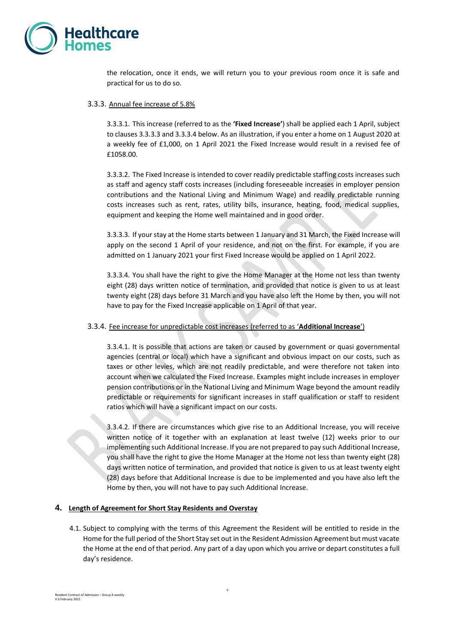

the relocation, once it ends, we will return you to your previous room once it is safe and practical for us to do so.

#### 3.3.3. Annual fee increase of 5.8%

3.3.3.1. This increase (referred to as the **'Fixed Increase'**) shall be applied each 1 April, subject to clauses 3.3.3.3 and 3.3.3.4 below. As an illustration, if you enter a home on 1 August 2020 at a weekly fee of £1,000, on 1 April 2021 the Fixed Increase would result in a revised fee of £1058.00.

3.3.3.2. The Fixed Increase is intended to cover readily predictable staffing costs increases such as staff and agency staff costs increases (including foreseeable increases in employer pension contributions and the National Living and Minimum Wage) and readily predictable running costs increases such as rent, rates, utility bills, insurance, heating, food, medical supplies, equipment and keeping the Home well maintained and in good order.

3.3.3.3. If your stay at the Home starts between 1 January and 31 March, the Fixed Increase will apply on the second 1 April of your residence, and not on the first. For example, if you are admitted on 1 January 2021 your first Fixed Increase would be applied on 1 April 2022.

3.3.3.4. You shall have the right to give the Home Manager at the Home not less than twenty eight (28) days written notice of termination, and provided that notice is given to us at least twenty eight (28) days before 31 March and you have also left the Home by then, you will not have to pay for the Fixed Increase applicable on 1 April of that year.

#### 3.3.4. Fee increase for unpredictable cost increases (referred to as '**Additional Increase**')

3.3.4.1. It is possible that actions are taken or caused by government or quasi governmental agencies (central or local) which have a significant and obvious impact on our costs, such as taxes or other levies, which are not readily predictable, and were therefore not taken into account when we calculated the Fixed Increase. Examples might include increases in employer pension contributions or in the National Living and Minimum Wage beyond the amount readily predictable or requirements for significant increases in staff qualification or staff to resident ratios which will have a significant impact on our costs.

3.3.4.2. If there are circumstances which give rise to an Additional Increase, you will receive written notice of it together with an explanation at least twelve (12) weeks prior to our implementing such Additional Increase. If you are not prepared to pay such Additional Increase, you shall have the right to give the Home Manager at the Home not less than twenty eight (28) days written notice of termination, and provided that notice is given to us at least twenty eight (28) days before that Additional Increase is due to be implemented and you have also left the Home by then, you will not have to pay such Additional Increase.

#### **4. Length of Agreement for Short Stay Residents and Overstay**

4.1. Subject to complying with the terms of this Agreement the Resident will be entitled to reside in the Home for the full period of the Short Stay set out in the Resident Admission Agreement but must vacate the Home at the end of that period. Any part of a day upon which you arrive or depart constitutes a full day's residence.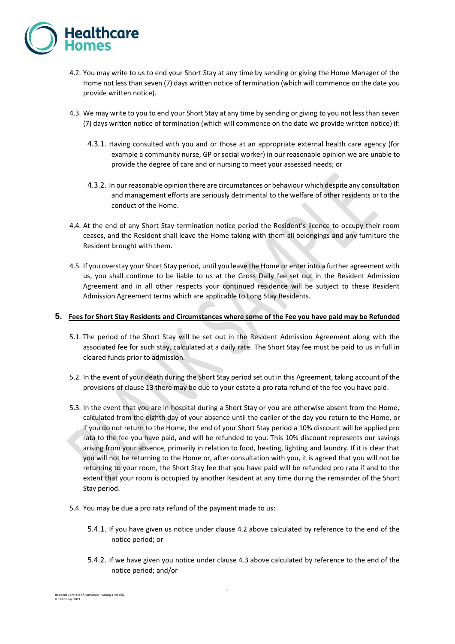

- 4.2. You may write to us to end your Short Stay at any time by sending or giving the Home Manager of the Home not less than seven (7) days written notice of termination (which will commence on the date you provide written notice).
- 4.3. We may write to you to end your Short Stay at any time by sending or giving to you not less than seven (7) days written notice of termination (which will commence on the date we provide written notice) if:
	- 4.3.1. Having consulted with you and or those at an appropriate external health care agency (for example a community nurse, GP or social worker) in our reasonable opinion we are unable to provide the degree of care and or nursing to meet your assessed needs; or
	- 4.3.2. In our reasonable opinion there are circumstances or behaviour which despite any consultation and management efforts are seriously detrimental to the welfare of other residents or to the conduct of the Home.
- 4.4. At the end of any Short Stay termination notice period the Resident's licence to occupy their room ceases, and the Resident shall leave the Home taking with them all belongings and any furniture the Resident brought with them.
- 4.5. If you overstay your Short Stay period, until you leave the Home or enter into a further agreement with us, you shall continue to be liable to us at the Gross Daily fee set out in the Resident Admission Agreement and in all other respects your continued residence will be subject to these Resident Admission Agreement terms which are applicable to Long Stay Residents.

#### **5. Fees for Short Stay Residents and Circumstances where some of the Fee you have paid may be Refunded**

- 5.1. The period of the Short Stay will be set out in the Resident Admission Agreement along with the associated fee for such stay, calculated at a daily rate. The Short Stay fee must be paid to us in full in cleared funds prior to admission.
- 5.2. In the event of your death during the Short Stay period set out in this Agreement, taking account of the provisions of clause [13](#page-10-0) there may be due to your estate a pro rata refund of the fee you have paid.
- 5.3. In the event that you are in hospital during a Short Stay or you are otherwise absent from the Home, calculated from the eighth day of your absence until the earlier of the day you return to the Home, or if you do not return to the Home, the end of your Short Stay period a 10% discount will be applied pro rata to the fee you have paid, and will be refunded to you. This 10% discount represents our savings arising from your absence, primarily in relation to food, heating, lighting and laundry. If it is clear that you will not be returning to the Home or, after consultation with you, it is agreed that you will not be returning to your room, the Short Stay fee that you have paid will be refunded pro rata if and to the extent that your room is occupied by another Resident at any time during the remainder of the Short Stay period.
- 5.4. You may be due a pro rata refund of the payment made to us:
	- 5.4.1. If you have given us notice under clause 4.2 above calculated by reference to the end of the notice period; or
	- 5.4.2. If we have given you notice under clause 4.3 above calculated by reference to the end of the notice period; and/or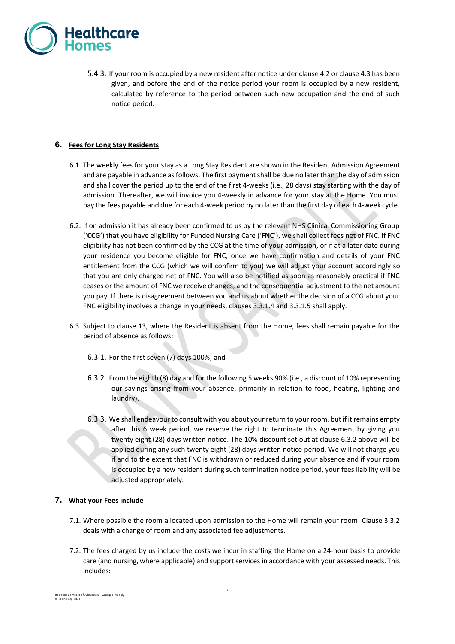

5.4.3. If your room is occupied by a new resident after notice under clause 4.2 or clause 4.3 has been given, and before the end of the notice period your room is occupied by a new resident, calculated by reference to the period between such new occupation and the end of such notice period.

## **6. Fees for Long Stay Residents**

- 6.1. The weekly fees for your stay as a Long Stay Resident are shown in the Resident Admission Agreement and are payable in advance as follows. The first payment shall be due no later than the day of admission and shall cover the period up to the end of the first 4-weeks (i.e., 28 days) stay starting with the day of admission. Thereafter, we will invoice you 4-weekly in advance for your stay at the Home. You must pay the fees payable and due for each 4-week period by no later than the first day of each 4-week cycle.
- 6.2. If on admission it has already been confirmed to us by the relevant NHS Clinical Commissioning Group ('**CCG**') that you have eligibility for Funded Nursing Care ('**FNC**'), we shall collect fees net of FNC. If FNC eligibility has not been confirmed by the CCG at the time of your admission, or if at a later date during your residence you become eligible for FNC; once we have confirmation and details of your FNC entitlement from the CCG (which we will confirm to you) we will adjust your account accordingly so that you are only charged net of FNC. You will also be notified as soon as reasonably practical if FNC ceases or the amount of FNC we receive changes, and the consequential adjustment to the net amount you pay. If there is disagreement between you and us about whether the decision of a CCG about your FNC eligibility involves a change in your needs, clauses 3.3.1.4 and 3.3.1.5 shall apply.
- 6.3. Subject to clause [13,](#page-10-0) where the Resident is absent from the Home, fees shall remain payable for the period of absence as follows:
	- 6.3.1. For the first seven (7) days 100%; and
	- 6.3.2. From the eighth (8) day and for the following 5 weeks 90% (i.e., a discount of 10% representing our savings arising from your absence, primarily in relation to food, heating, lighting and laundry).
	- 6.3.3. We shall endeavour to consult with you about your return to your room, but if it remains empty after this 6 week period, we reserve the right to terminate this Agreement by giving you twenty eight (28) days written notice. The 10% discount set out at clause 6.3.2 above will be applied during any such twenty eight (28) days written notice period. We will not charge you if and to the extent that FNC is withdrawn or reduced during your absence and if your room is occupied by a new resident during such termination notice period, your fees liability will be adjusted appropriately.

#### **7. What your Fees include**

- <span id="page-6-0"></span>7.1. Where possible the room allocated upon admission to the Home will remain your room. Clause 3.3.2 deals with a change of room and any associated fee adjustments.
- 7.2. The fees charged by us include the costs we incur in staffing the Home on a 24-hour basis to provide care (and nursing, where applicable) and support services in accordance with your assessed needs. This includes: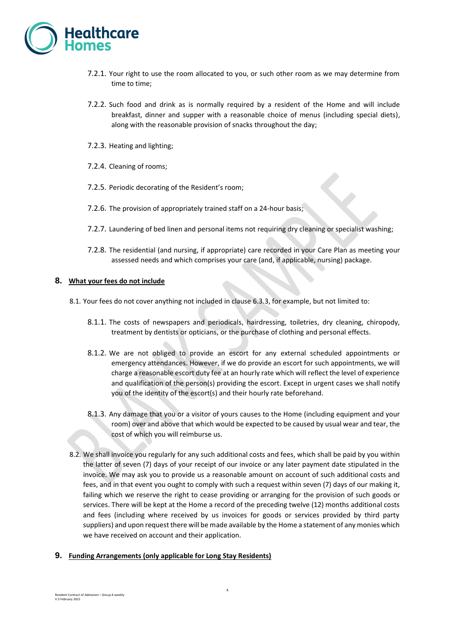

- 7.2.1. Your right to use the room allocated to you, or such other room as we may determine from time to time;
- 7.2.2. Such food and drink as is normally required by a resident of the Home and will include breakfast, dinner and supper with a reasonable choice of menus (including special diets), along with the reasonable provision of snacks throughout the day;
- 7.2.3. Heating and lighting;
- 7.2.4. Cleaning of rooms;
- 7.2.5. Periodic decorating of the Resident's room;
- 7.2.6. The provision of appropriately trained staff on a 24-hour basis;
- 7.2.7. Laundering of bed linen and personal items not requiring dry cleaning or specialist washing;
- 7.2.8. The residential (and nursing, if appropriate) care recorded in your Care Plan as meeting your assessed needs and which comprises your care (and, if applicable, nursing) package.

#### **8. What your fees do not include**

- 8.1. Your fees do not cover anything not included in clause [6.3.3,](#page-6-0) for example, but not limited to:
	- 8.1.1. The costs of newspapers and periodicals, hairdressing, toiletries, dry cleaning, chiropody, treatment by dentists or opticians, or the purchase of clothing and personal effects.
	- 8.1.2. We are not obliged to provide an escort for any external scheduled appointments or emergency attendances. However, if we do provide an escort for such appointments, we will charge a reasonable escort duty fee at an hourly rate which will reflect the level of experience and qualification of the person(s) providing the escort. Except in urgent cases we shall notify you of the identity of the escort(s) and their hourly rate beforehand.
	- 8.1.3. Any damage that you or a visitor of yours causes to the Home (including equipment and your room) over and above that which would be expected to be caused by usual wear and tear, the cost of which you will reimburse us.
- 8.2. We shall invoice you regularly for any such additional costs and fees, which shall be paid by you within the latter of seven (7) days of your receipt of our invoice or any later payment date stipulated in the invoice. We may ask you to provide us a reasonable amount on account of such additional costs and fees, and in that event you ought to comply with such a request within seven (7) days of our making it, failing which we reserve the right to cease providing or arranging for the provision of such goods or services. There will be kept at the Home a record of the preceding twelve (12) months additional costs and fees (including where received by us invoices for goods or services provided by third party suppliers) and upon request there will be made available by the Home a statement of any monies which we have received on account and their application.

#### **9. Funding Arrangements (only applicable for Long Stay Residents)**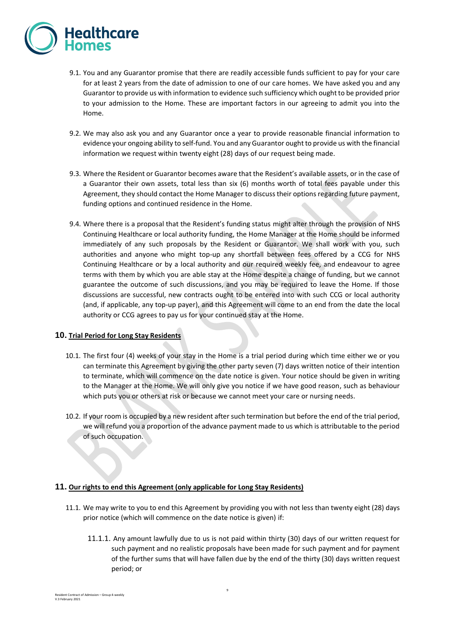

- 9.1. You and any Guarantor promise that there are readily accessible funds sufficient to pay for your care for at least 2 years from the date of admission to one of our care homes. We have asked you and any Guarantor to provide us with information to evidence such sufficiency which ought to be provided prior to your admission to the Home. These are important factors in our agreeing to admit you into the Home.
- 9.2. We may also ask you and any Guarantor once a year to provide reasonable financial information to evidence your ongoing ability to self-fund. You and any Guarantor ought to provide us with the financial information we request within twenty eight (28) days of our request being made.
- 9.3. Where the Resident or Guarantor becomes aware that the Resident's available assets, or in the case of a Guarantor their own assets, total less than six (6) months worth of total fees payable under this Agreement, they should contact the Home Manager to discuss their options regarding future payment, funding options and continued residence in the Home.
- 9.4. Where there is a proposal that the Resident's funding status might alter through the provision of NHS Continuing Healthcare or local authority funding, the Home Manager at the Home should be informed immediately of any such proposals by the Resident or Guarantor. We shall work with you, such authorities and anyone who might top-up any shortfall between fees offered by a CCG for NHS Continuing Healthcare or by a local authority and our required weekly fee, and endeavour to agree terms with them by which you are able stay at the Home despite a change of funding, but we cannot guarantee the outcome of such discussions, and you may be required to leave the Home. If those discussions are successful, new contracts ought to be entered into with such CCG or local authority (and, if applicable, any top-up payer), and this Agreement will come to an end from the date the local authority or CCG agrees to pay us for your continued stay at the Home.

## **10. Trial Period for Long Stay Residents**

- 10.1. The first four (4) weeks of your stay in the Home is a trial period during which time either we or you can terminate this Agreement by giving the other party seven (7) days written notice of their intention to terminate, which will commence on the date notice is given. Your notice should be given in writing to the Manager at the Home. We will only give you notice if we have good reason, such as behaviour which puts you or others at risk or because we cannot meet your care or nursing needs.
- 10.2. If your room is occupied by a new resident after such termination but before the end of the trial period, we will refund you a proportion of the advance payment made to us which is attributable to the period of such occupation.

#### **11. Our rights to end this Agreement (only applicable for Long Stay Residents)**

- 11.1. We may write to you to end this Agreement by providing you with not less than twenty eight (28) days prior notice (which will commence on the date notice is given) if:
	- 11.1.1. Any amount lawfully due to us is not paid within thirty (30) days of our written request for such payment and no realistic proposals have been made for such payment and for payment of the further sums that will have fallen due by the end of the thirty (30) days written request period; or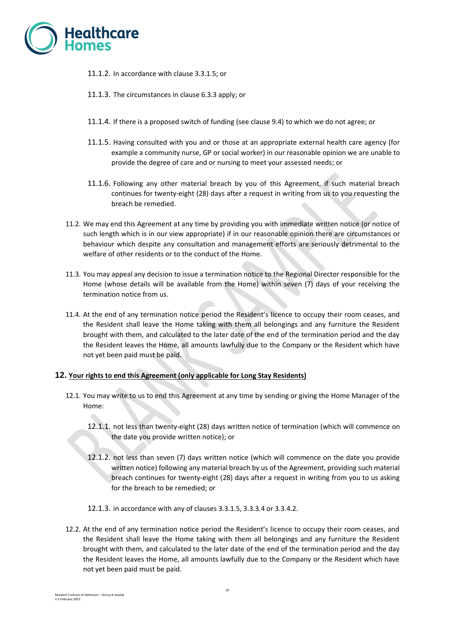

- 11.1.2. In accordance with clause 3.3.1.5; or
- 11.1.3. The circumstances in clause 6.3.3 apply; or
- 11.1.4. If there is a proposed switch of funding (see clause 9.4) to which we do not agree; or
- 11.1.5. Having consulted with you and or those at an appropriate external health care agency (for example a community nurse, GP or social worker) in our reasonable opinion we are unable to provide the degree of care and or nursing to meet your assessed needs; or
- 11.1.6. Following any other material breach by you of this Agreement, if such material breach continues for twenty-eight (28) days after a request in writing from us to you requesting the breach be remedied.
- 11.2. We may end this Agreement at any time by providing you with immediate written notice (or notice of such length which is in our view appropriate) if in our reasonable opinion there are circumstances or behaviour which despite any consultation and management efforts are seriously detrimental to the welfare of other residents or to the conduct of the Home.
- 11.3. You may appeal any decision to issue a termination notice to the Regional Director responsible for the Home (whose details will be available from the Home) within seven (7) days of your receiving the termination notice from us.
- 11.4. At the end of any termination notice period the Resident's licence to occupy their room ceases, and the Resident shall leave the Home taking with them all belongings and any furniture the Resident brought with them, and calculated to the later date of the end of the termination period and the day the Resident leaves the Home, all amounts lawfully due to the Company or the Resident which have not yet been paid must be paid.

#### **12. Your rights to end this Agreement (only applicable for Long Stay Residents)**

- 12.1. You may write to us to end this Agreement at any time by sending or giving the Home Manager of the Home:
	- 12.1.1. not less than twenty-eight (28) days written notice of termination (which will commence on the date you provide written notice); or
	- 12.1.2. not less than seven (7) days written notice (which will commence on the date you provide written notice) following any material breach by us of the Agreement, providing such material breach continues for twenty-eight (28) days after a request in writing from you to us asking for the breach to be remedied; or
	- 12.1.3. in accordance with any of clauses 3.3.1.5, 3.3.3.4 or 3.3.4.2.
- 12.2. At the end of any termination notice period the Resident's licence to occupy their room ceases, and the Resident shall leave the Home taking with them all belongings and any furniture the Resident brought with them, and calculated to the later date of the end of the termination period and the day the Resident leaves the Home, all amounts lawfully due to the Company or the Resident which have not yet been paid must be paid.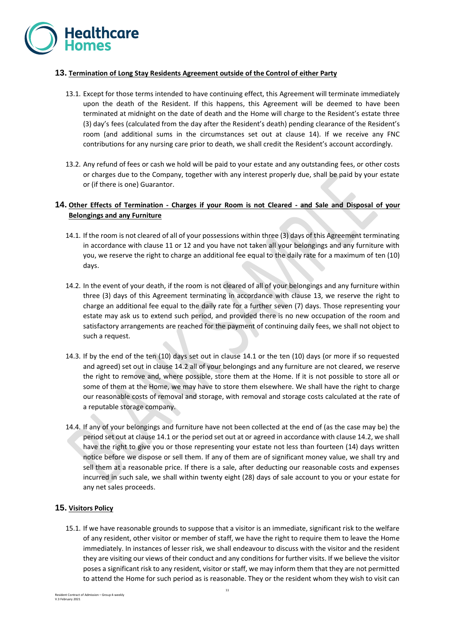

#### **13. Termination of Long Stay Residents Agreement outside of the Control of either Party**

- <span id="page-10-0"></span>13.1. Except for those terms intended to have continuing effect, this Agreement will terminate immediately upon the death of the Resident. If this happens, this Agreement will be deemed to have been terminated at midnight on the date of death and the Home will charge to the Resident's estate three (3) day's fees (calculated from the day after the Resident's death) pending clearance of the Resident's room (and additional sums in the circumstances set out at clause 14). If we receive any FNC contributions for any nursing care prior to death, we shall credit the Resident's account accordingly.
- 13.2. Any refund of fees or cash we hold will be paid to your estate and any outstanding fees, or other costs or charges due to the Company, together with any interest properly due, shall be paid by your estate or (if there is one) Guarantor.

## **14. Other Effects of Termination - Charges if your Room is not Cleared - and Sale and Disposal of your Belongings and any Furniture**

- 14.1. If the room is not cleared of all of your possessions within three (3) days of this Agreement terminating in accordance with clause 11 or 12 and you have not taken all your belongings and any furniture with you, we reserve the right to charge an additional fee equal to the daily rate for a maximum of ten (10) days.
- 14.2. In the event of your death, if the room is not cleared of all of your belongings and any furniture within three (3) days of this Agreement terminating in accordance with clause [13,](#page-10-0) we reserve the right to charge an additional fee equal to the daily rate for a further seven (7) days. Those representing your estate may ask us to extend such period, and provided there is no new occupation of the room and satisfactory arrangements are reached for the payment of continuing daily fees, we shall not object to such a request.
- 14.3. If by the end of the ten (10) days set out in clause 14.1 or the ten (10) days (or more if so requested and agreed) set out in clause 14.2 all of your belongings and any furniture are not cleared, we reserve the right to remove and, where possible, store them at the Home. If it is not possible to store all or some of them at the Home, we may have to store them elsewhere. We shall have the right to charge our reasonable costs of removal and storage, with removal and storage costs calculated at the rate of a reputable storage company.
- 14.4. If any of your belongings and furniture have not been collected at the end of (as the case may be) the period set out at clause 14.1 or the period set out at or agreed in accordance with clause 14.2, we shall have the right to give you or those representing your estate not less than fourteen (14) days written notice before we dispose or sell them. If any of them are of significant money value, we shall try and sell them at a reasonable price. If there is a sale, after deducting our reasonable costs and expenses incurred in such sale, we shall within twenty eight (28) days of sale account to you or your estate for any net sales proceeds.

#### **15. Visitors Policy**

15.1. If we have reasonable grounds to suppose that a visitor is an immediate, significant risk to the welfare of any resident, other visitor or member of staff, we have the right to require them to leave the Home immediately. In instances of lesser risk, we shall endeavour to discuss with the visitor and the resident they are visiting our views of their conduct and any conditions for further visits. If we believe the visitor poses a significant risk to any resident, visitor or staff, we may inform them that they are not permitted to attend the Home for such period as is reasonable. They or the resident whom they wish to visit can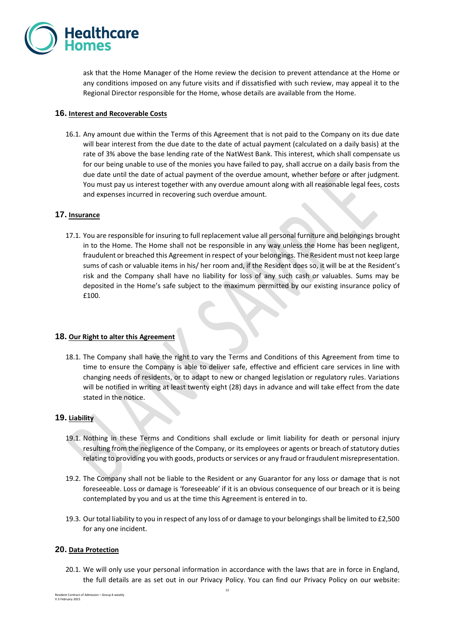

ask that the Home Manager of the Home review the decision to prevent attendance at the Home or any conditions imposed on any future visits and if dissatisfied with such review, may appeal it to the Regional Director responsible for the Home, whose details are available from the Home.

### **16. Interest and Recoverable Costs**

16.1. Any amount due within the Terms of this Agreement that is not paid to the Company on its due date will bear interest from the due date to the date of actual payment (calculated on a daily basis) at the rate of 3% above the base lending rate of the NatWest Bank. This interest, which shall compensate us for our being unable to use of the monies you have failed to pay, shall accrue on a daily basis from the due date until the date of actual payment of the overdue amount, whether before or after judgment. You must pay us interest together with any overdue amount along with all reasonable legal fees, costs and expenses incurred in recovering such overdue amount.

### **17. Insurance**

17.1. You are responsible for insuring to full replacement value all personal furniture and belongings brought in to the Home. The Home shall not be responsible in any way unless the Home has been negligent, fraudulent or breached this Agreement in respect of your belongings. The Resident must not keep large sums of cash or valuable items in his/ her room and, if the Resident does so, it will be at the Resident's risk and the Company shall have no liability for loss of any such cash or valuables. Sums may be deposited in the Home's safe subject to the maximum permitted by our existing insurance policy of £100.

#### **18. Our Right to alter this Agreement**

18.1. The Company shall have the right to vary the Terms and Conditions of this Agreement from time to time to ensure the Company is able to deliver safe, effective and efficient care services in line with changing needs of residents, or to adapt to new or changed legislation or regulatory rules. Variations will be notified in writing at least twenty eight (28) days in advance and will take effect from the date stated in the notice.

#### **19. Liability**

- 19.1. Nothing in these Terms and Conditions shall exclude or limit liability for death or personal injury resulting from the negligence of the Company, or its employees or agents or breach of statutory duties relating to providing you with goods, products or services or any fraud or fraudulent misrepresentation.
- 19.2. The Company shall not be liable to the Resident or any Guarantor for any loss or damage that is not foreseeable. Loss or damage is 'foreseeable' if it is an obvious consequence of our breach or it is being contemplated by you and us at the time this Agreement is entered in to.
- 19.3. Our total liability to you in respect of any loss of or damage to your belongings shall be limited to £2,500 for any one incident.

## **20. Data Protection**

20.1. We will only use your personal information in accordance with the laws that are in force in England, the full details are as set out in our Privacy Policy. You can find our Privacy Policy on our website: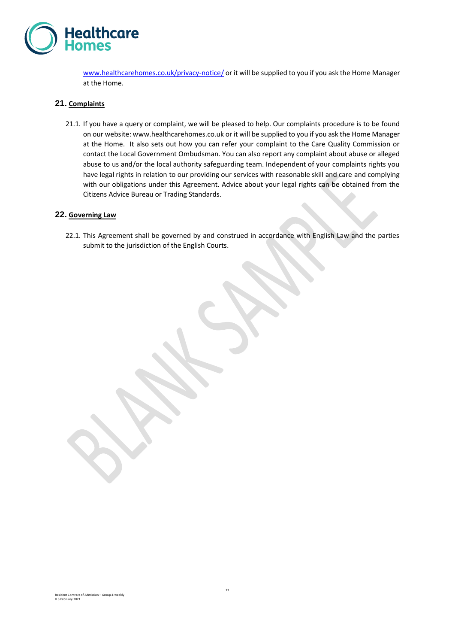

[www.healthcarehomes.co.uk/privacy-notice/](http://www.healthcarehomes.co.uk/privacy-notice/) or it will be supplied to you if you ask the Home Manager at the Home.

### **21. Complaints**

21.1. If you have a query or complaint, we will be pleased to help. Our complaints procedure is to be found on our website: www.healthcarehomes.co.uk or it will be supplied to you if you ask the Home Manager at the Home. It also sets out how you can refer your complaint to the Care Quality Commission or contact the Local Government Ombudsman. You can also report any complaint about abuse or alleged abuse to us and/or the local authority safeguarding team. Independent of your complaints rights you have legal rights in relation to our providing our services with reasonable skill and care and complying with our obligations under this Agreement. Advice about your legal rights can be obtained from the Citizens Advice Bureau or Trading Standards.

#### **22. Governing Law**

22.1. This Agreement shall be governed by and construed in accordance with English Law and the parties submit to the jurisdiction of the English Courts.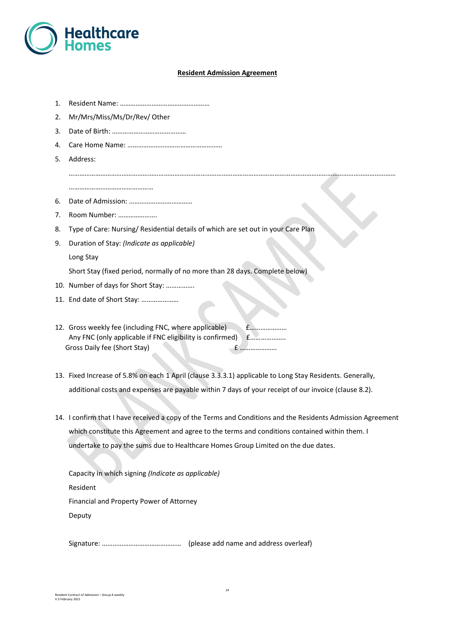

#### **Resident Admission Agreement**

……………………………………………………………………………………………………………………………………………………………………

- 1. Resident Name: ……………………………………………
- 2. Mr/Mrs/Miss/Ms/Dr/Rev/ Other
- 3. Date of Birth: ……………………………………
- 4. Care Home Name: ………………………………………………
- 5. Address:

…………………………………………

- 6. Date of Admission: ………………………………
- 7. Room Number: ………………….
- 8. Type of Care: Nursing/ Residential details of which are set out in your Care Plan
- 9. Duration of Stay: *(Indicate as applicable)*

Long Stay

Short Stay (fixed period, normally of no more than 28 days. Complete below)

- 10. Number of days for Short Stay: …………….
- 11. End date of Short Stay: …………………
- 12. Gross weekly fee (including FNC, where applicable) £………………… Any FNC (only applicable if FNC eligibility is confirmed) £………………… Gross Daily fee (Short Stay) £ …………………
- 13. Fixed Increase of 5.8% on each 1 April (clause 3.3.3.1) applicable to Long Stay Residents. Generally, additional costs and expenses are payable within 7 days of your receipt of our invoice (clause 8.2).
- 14. I confirm that I have received a copy of the Terms and Conditions and the Residents Admission Agreement which constitute this Agreement and agree to the terms and conditions contained within them. I undertake to pay the sums due to Healthcare Homes Group Limited on the due dates.

Capacity in which signing *(Indicate as applicable)* Resident Financial and Property Power of Attorney Deputy

Signature: ……………………………………… (please add name and address overleaf)